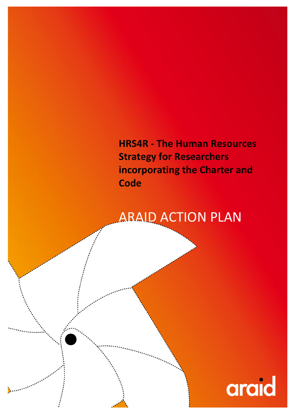HRS4R - The Human Resources Strategy for Researchers incorporating the Charter and **Code** 

# ARAID ACTION PLAN

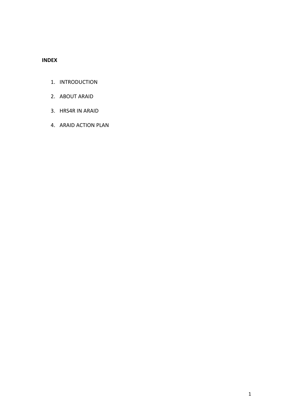## INDEX

- 1. INTRODUCTION
- 2. ABOUT ARAID
- 3. HRS4R IN ARAID
- 4. ARAID ACTION PLAN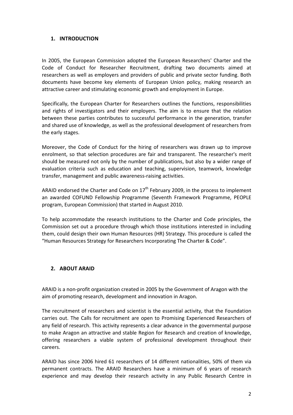### 1. INTRODUCTION

In 2005, the European Commission adopted the European Researchers' Charter and the Code of Conduct for Researcher Recruitment, drafting two documents aimed at researchers as well as employers and providers of public and private sector funding. Both documents have become key elements of European Union policy, making research an attractive career and stimulating economic growth and employment in Europe.

Specifically, the European Charter for Researchers outlines the functions, responsibilities and rights of investigators and their employers. The aim is to ensure that the relation between these parties contributes to successful performance in the generation, transfer and shared use of knowledge, as well as the professional development of researchers from the early stages.

Moreover, the Code of Conduct for the hiring of researchers was drawn up to improve enrolment, so that selection procedures are fair and transparent. The researcher's merit should be measured not only by the number of publications, but also by a wider range of evaluation criteria such as education and teaching, supervision, teamwork, knowledge transfer, management and public awareness-raising activities.

ARAID endorsed the Charter and Code on  $17<sup>th</sup>$  February 2009, in the process to implement an awarded COFUND Fellowship Programme (Seventh Framework Programme, PEOPLE program, European Commission) that started in August 2010.

To help accommodate the research institutions to the Charter and Code principles, the Commission set out a procedure through which those institutions interested in including them, could design their own Human Resources (HR) Strategy. This procedure is called the "Human Resources Strategy for Researchers Incorporating The Charter & Code".

### 2. ABOUT ARAID

ARAID is a non-profit organization created in 2005 by the Government of Aragon with the aim of promoting research, development and innovation in Aragon.

The recruitment of researchers and scientist is the essential activity, that the Foundation carries out. The Calls for recruitment are open to Promising Experienced Researchers of any field of research. This activity represents a clear advance in the governmental purpose to make Aragon an attractive and stable Region for Research and creation of knowledge, offering researchers a viable system of professional development throughout their careers.

ARAID has since 2006 hired 61 researchers of 14 different nationalities, 50% of them via permanent contracts. The ARAID Researchers have a minimum of 6 years of research experience and may develop their research activity in any Public Research Centre in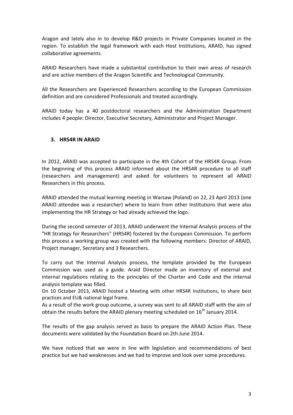Aragon and lately also in to develop R&D projects in Private Companies located in the region. To establish the legal framework with each Host Institutions, ARAID, has signed collaborative agreements.

ARAID Researchers have made a substantial contribution to their own areas of research and are active members of the Aragon Scientific and Technological Community.

All the Researchers are Experienced Researchers according to the European Commission definition and are considered Professionals and treated accordingly.

ARAID today has a 40 postdoctoral researchers and the Administration Department includes 4 people: Director, Executive Secretary, Administrator and Project Manager.

### 3. HRS4R IN ARAID

In 2012, ARAID was accepted to participate in the 4th Cohort of the HRS4R Group. From the beginning of this process ARAID informed about the HRS4R procedure to all staff (researchers and management) and asked for volunteers to represent all ARAID Researchers in this process.

ARAID attended the mutual learning meeting in Warsaw (Poland) on 22, 23 April 2013 (one ARAID attendee was a researcher) where to learn from other Institutions that were also implementing the HR Strategy or had already achieved the logo.

During the second semester of 2013, ARAID underwent the Internal Analysis process of the "HR Strategy for Researchers" (HRS4R) fostered by the European Commission. To perform this process a working group was created with the following members: Director of ARAID, Project manager, Secretary and 3 Researchers.

To carry out the Internal Analysis process, the template provided by the European Commission was used as a guide. Araid Director made an inventory of external and internal regulations relating to the principles of the Charter and Code and the internal analysis template was filled.

On 10 October 2013, ARAID hosted a Meeting with other HRS4R Institutions, to share best practices and EU& national legal frame.

As a result of the work group outcome, a survey was sent to all ARAID staff with the aim of obtain the results before the ARAID plenary meeting scheduled on  $16<sup>th</sup>$  January 2014.

The results of the gap analysis served as basis to prepare the ARAID Action Plan. These documents were validated by the Foundation Board on 2th June 2014.

We have noticed that we were in line with legislation and recommendations of best practice but we had weaknesses and we had to improve and look over some procedures.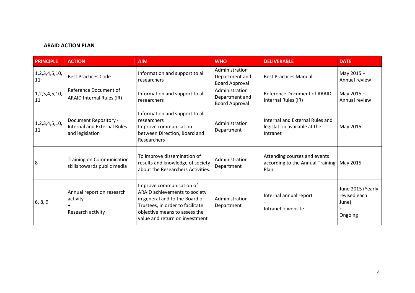#### ARAID ACTION PLAN

| <b>PRINCIPLE</b>         | <b>ACTION</b>                                                                  | <b>AIM</b>                                                                                                                                                                                         | <b>WHO</b>                                                | <b>DELIVERABLE</b>                                                          | <b>DATE</b>                                                    |
|--------------------------|--------------------------------------------------------------------------------|----------------------------------------------------------------------------------------------------------------------------------------------------------------------------------------------------|-----------------------------------------------------------|-----------------------------------------------------------------------------|----------------------------------------------------------------|
| 1, 2, 3, 4, 5, 10,<br>11 | <b>Best Practices Code</b>                                                     | Information and support to all<br>researchers                                                                                                                                                      | Administration<br>Department and<br><b>Board Approval</b> | <b>Best Practices Manual</b>                                                | May 2015 +<br>Annual review                                    |
| 1, 2, 3, 4, 5, 10,<br>11 | Reference Document of<br><b>ARAID Internal Rules (IR)</b>                      | Information and support to all<br>researchers                                                                                                                                                      | Administration<br>Department and<br><b>Board Approval</b> | Reference Document of ARAID<br>Internal Rules (IR)                          | May 2015 +<br>Annual review                                    |
| 1, 2, 3, 4, 5, 10,<br>11 | Document Repository -<br><b>Internal and External Rules</b><br>and legislation | Information and support to all<br>researchers<br>Improve communication<br>between Direction, Board and<br>Researchers                                                                              | Administration<br>Department                              | Internal and External Rules and<br>legislation available at the<br>Intranet | May 2015                                                       |
| 8                        | <b>Training on Communication</b><br>skills towards public media                | To improve dissemination of<br>results and knowledge of society<br>about the Researchers Activities.                                                                                               | Administration<br>Department                              | Attending courses and events<br>according to the Annual Training<br>Plan    | May 2015                                                       |
| 6, 8, 9                  | Annual report on research<br>activity<br>Research activity                     | Improve communication of<br>ARAID achievements to society<br>in general and to the Board of<br>Trustees, in order to facilitate<br>objective means to assess the<br>value and return on investment | Administration<br>Department                              | Internal annual report<br>Intranet + website                                | June 2015 (Yearly<br>revised each<br>June)<br>$\pm$<br>Ongoing |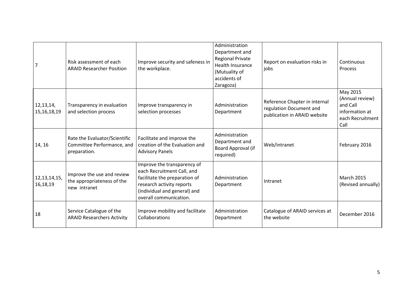| 7                           | Risk assessment of each<br><b>ARAID Researcher Position</b>                 | Improve security and safeness in<br>the workplace.                                                                                                                                | Administration<br>Department and<br><b>Regional Private</b><br><b>Health Insurance</b><br>(Mutuality of<br>accidents of<br>Zaragoza) | Report on evaluation risks in<br>jobs                                                    | Continuous<br>Process                                                                 |
|-----------------------------|-----------------------------------------------------------------------------|-----------------------------------------------------------------------------------------------------------------------------------------------------------------------------------|--------------------------------------------------------------------------------------------------------------------------------------|------------------------------------------------------------------------------------------|---------------------------------------------------------------------------------------|
| 12, 13, 14,<br>15,16,18,19  | Transparency in evaluation<br>and selection process                         | Improve transparency in<br>selection processes                                                                                                                                    | Administration<br>Department                                                                                                         | Reference Chapter in internal<br>regulation Document and<br>publication in ARAID website | May 2015<br>(Annual review)<br>and Call<br>information at<br>each Recruitment<br>Call |
| 14, 16                      | Rate the Evaluator/Scientific<br>Committee Performance, and<br>preparation. | Facilitate and improve the<br>creation of the Evaluation and<br><b>Advisory Panels</b>                                                                                            | Administration<br>Department and<br>Board Approval (if<br>required)                                                                  | Web/intranet                                                                             | February 2016                                                                         |
| 12, 13, 14, 15,<br>16,18,19 | Improve the use and review<br>the appropriateness of the<br>new intranet    | Improve the transparency of<br>each Recruitment Call, and<br>facilitate the preparation of<br>research activity reports<br>(individual and general) and<br>overall communication. | Administration<br>Department                                                                                                         | Intranet                                                                                 | <b>March 2015</b><br>(Revised annually)                                               |
| 18                          | Service Catalogue of the<br><b>ARAID Researchers Activity</b>               | Improve mobility and facilitate<br>Collaborations                                                                                                                                 | Administration<br>Department                                                                                                         | Catalogue of ARAID services at<br>the website                                            | December 2016                                                                         |